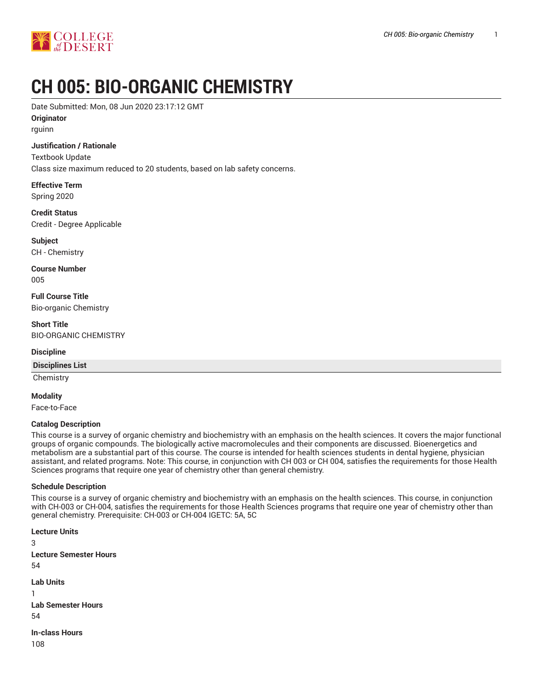

# **CH 005: BIO-ORGANIC CHEMISTRY**

Date Submitted: Mon, 08 Jun 2020 23:17:12 GMT

**Originator**

rguinn

## **Justification / Rationale**

Textbook Update

Class size maximum reduced to 20 students, based on lab safety concerns.

**Effective Term** Spring 2020

**Credit Status** Credit - Degree Applicable

**Subject** CH - Chemistry

**Course Number** 005

**Full Course Title** Bio-organic Chemistry

**Short Title** BIO-ORGANIC CHEMISTRY

## **Discipline**

**Disciplines List**

**Chemistry** 

**Modality**

Face-to-Face

## **Catalog Description**

This course is a survey of organic chemistry and biochemistry with an emphasis on the health sciences. It covers the major functional groups of organic compounds. The biologically active macromolecules and their components are discussed. Bioenergetics and metabolism are a substantial part of this course. The course is intended for health sciences students in dental hygiene, physician assistant, and related programs. Note: This course, in conjunction with CH 003 or CH 004, satisfies the requirements for those Health Sciences programs that require one year of chemistry other than general chemistry.

## **Schedule Description**

This course is a survey of organic chemistry and biochemistry with an emphasis on the health sciences. This course, in conjunction with CH-003 or CH-004, satisfies the requirements for those Health Sciences programs that require one year of chemistry other than general chemistry. Prerequisite: CH-003 or CH-004 IGETC: 5A, 5C

**Lecture Units** 3 **Lecture Semester Hours** 54 **Lab Units** 1 **Lab Semester Hours** 54 **In-class Hours** 108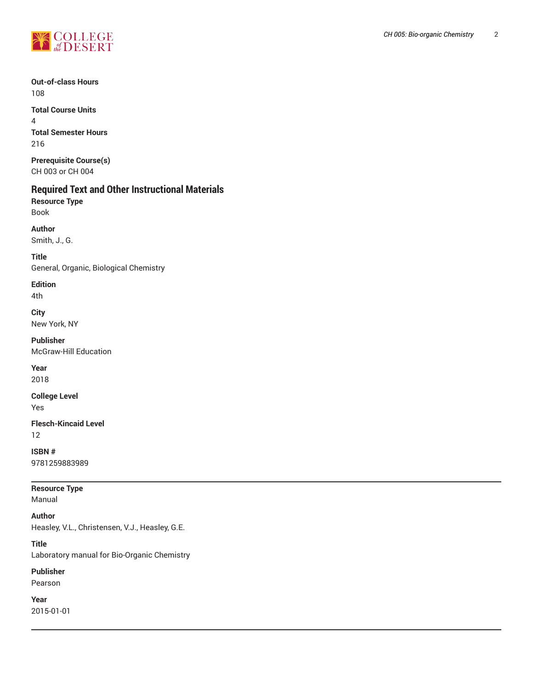

**Out-of-class Hours** 108

**Total Course Units** 4 **Total Semester Hours** 216

**Prerequisite Course(s)** CH 003 or CH 004

## **Required Text and Other Instructional Materials**

**Resource Type** Book

**Author** Smith, J., G.

**Title** General, Organic, Biological Chemistry

**Edition** 4th

**City** New York, NY

**Publisher** McGraw-Hill Education

**Year** 2018

**College Level**

Yes

**Flesch-Kincaid Level** 12

**ISBN #** 9781259883989

**Resource Type** Manual

**Author**

Heasley, V.L., Christensen, V.J., Heasley, G.E.

**Title**

Laboratory manual for Bio-Organic Chemistry

**Publisher**

Pearson

**Year** 2015-01-01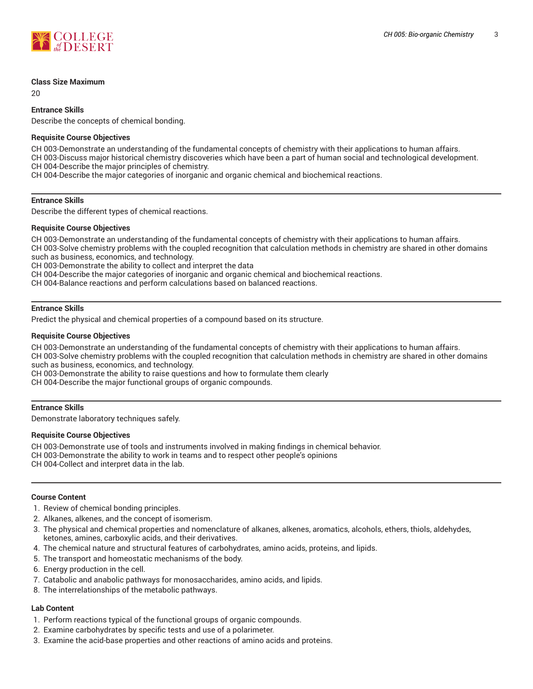

#### **Class Size Maximum**

 $20$ 

## **Entrance Skills**

Describe the concepts of chemical bonding.

#### **Requisite Course Objectives**

CH 003-Demonstrate an understanding of the fundamental concepts of chemistry with their applications to human affairs. CH 003-Discuss major historical chemistry discoveries which have been a part of human social and technological development. CH 004-Describe the major principles of chemistry.

CH 004-Describe the major categories of inorganic and organic chemical and biochemical reactions.

## **Entrance Skills**

Describe the different types of chemical reactions.

#### **Requisite Course Objectives**

CH 003-Demonstrate an understanding of the fundamental concepts of chemistry with their applications to human affairs.

CH 003-Solve chemistry problems with the coupled recognition that calculation methods in chemistry are shared in other domains such as business, economics, and technology.

CH 003-Demonstrate the ability to collect and interpret the data

CH 004-Describe the major categories of inorganic and organic chemical and biochemical reactions.

CH 004-Balance reactions and perform calculations based on balanced reactions.

## **Entrance Skills**

Predict the physical and chemical properties of a compound based on its structure.

#### **Requisite Course Objectives**

CH 003-Demonstrate an understanding of the fundamental concepts of chemistry with their applications to human affairs.

CH 003-Solve chemistry problems with the coupled recognition that calculation methods in chemistry are shared in other domains such as business, economics, and technology.

CH 003-Demonstrate the ability to raise questions and how to formulate them clearly

CH 004-Describe the major functional groups of organic compounds.

## **Entrance Skills**

Demonstrate laboratory techniques safely.

#### **Requisite Course Objectives**

CH 003-Demonstrate use of tools and instruments involved in making findings in chemical behavior. CH 003-Demonstrate the ability to work in teams and to respect other people's opinions CH 004-Collect and interpret data in the lab.

#### **Course Content**

- 1. Review of chemical bonding principles.
- 2. Alkanes, alkenes, and the concept of isomerism.
- 3. The physical and chemical properties and nomenclature of alkanes, alkenes, aromatics, alcohols, ethers, thiols, aldehydes, ketones, amines, carboxylic acids, and their derivatives.
- 4. The chemical nature and structural features of carbohydrates, amino acids, proteins, and lipids.
- 5. The transport and homeostatic mechanisms of the body.
- 6. Energy production in the cell.
- 7. Catabolic and anabolic pathways for monosaccharides, amino acids, and lipids.
- 8. The interrelationships of the metabolic pathways.

## **Lab Content**

- 1. Perform reactions typical of the functional groups of organic compounds.
- 2. Examine carbohydrates by specific tests and use of a polarimeter.
- 3. Examine the acid-base properties and other reactions of amino acids and proteins.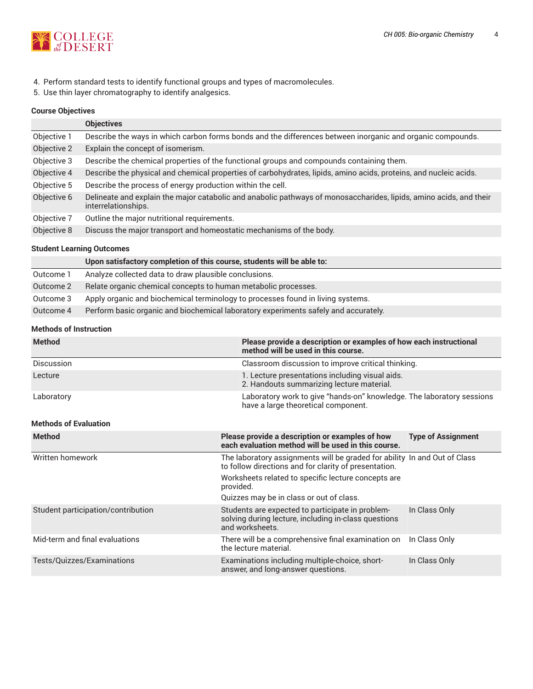

- 4. Perform standard tests to identify functional groups and types of macromolecules.
- 5. Use thin layer chromatography to identify analgesics.

## **Course Objectives**

|             | <b>Objectives</b>                                                                                                                         |
|-------------|-------------------------------------------------------------------------------------------------------------------------------------------|
| Objective 1 | Describe the ways in which carbon forms bonds and the differences between inorganic and organic compounds.                                |
| Objective 2 | Explain the concept of isomerism.                                                                                                         |
| Objective 3 | Describe the chemical properties of the functional groups and compounds containing them.                                                  |
| Objective 4 | Describe the physical and chemical properties of carbohydrates, lipids, amino acids, proteins, and nucleic acids.                         |
| Objective 5 | Describe the process of energy production within the cell.                                                                                |
| Objective 6 | Delineate and explain the major catabolic and anabolic pathways of monosaccharides, lipids, amino acids, and their<br>interrelationships. |
| Objective 7 | Outline the major nutritional requirements.                                                                                               |
| Objective 8 | Discuss the major transport and homeostatic mechanisms of the body.                                                                       |

## **Student Learning Outcomes**

|           | Upon satisfactory completion of this course, students will be able to:              |
|-----------|-------------------------------------------------------------------------------------|
| Outcome 1 | Analyze collected data to draw plausible conclusions.                               |
| Outcome 2 | Relate organic chemical concepts to human metabolic processes.                      |
| Outcome 3 | Apply organic and biochemical terminology to processes found in living systems.     |
| Outcome 4 | Perform basic organic and biochemical laboratory experiments safely and accurately. |

## **Methods of Instruction**

| <b>Method</b>     | Please provide a description or examples of how each instructional<br>method will be used in this course.    |
|-------------------|--------------------------------------------------------------------------------------------------------------|
| <b>Discussion</b> | Classroom discussion to improve critical thinking.                                                           |
| Lecture           | 1. Lecture presentations including visual aids.<br>2. Handouts summarizing lecture material.                 |
| Laboratory        | Laboratory work to give "hands-on" knowledge. The laboratory sessions<br>have a large theoretical component. |

## **Methods of Evaluation**

| <b>Method</b>                      | Please provide a description or examples of how<br>each evaluation method will be used in this course.                             | <b>Type of Assignment</b> |
|------------------------------------|------------------------------------------------------------------------------------------------------------------------------------|---------------------------|
| Written homework                   | The laboratory assignments will be graded for ability In and Out of Class<br>to follow directions and for clarity of presentation. |                           |
|                                    | Worksheets related to specific lecture concepts are<br>provided.                                                                   |                           |
|                                    | Quizzes may be in class or out of class.                                                                                           |                           |
| Student participation/contribution | Students are expected to participate in problem-<br>solving during lecture, including in-class questions<br>and worksheets.        | In Class Only             |
| Mid-term and final evaluations     | There will be a comprehensive final examination on<br>the lecture material.                                                        | In Class Only             |
| Tests/Quizzes/Examinations         | Examinations including multiple-choice, short-<br>answer, and long-answer questions.                                               | In Class Only             |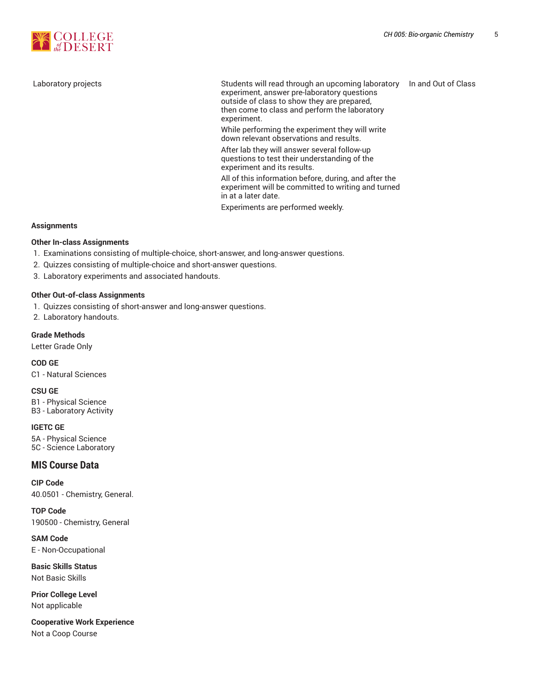

Laboratory projects Students will read through an upcoming laboratory In and Out of Class experiment, answer pre-laboratory questions outside of class to show they are prepared, then come to class and perform the laboratory experiment.

While performing the experiment they will write down relevant observations and results.

After lab they will answer several follow-up questions to test their understanding of the experiment and its results.

All of this information before, during, and after the experiment will be committed to writing and turned in at a later date.

Experiments are performed weekly.

#### **Assignments**

## **Other In-class Assignments**

- 1. Examinations consisting of multiple-choice, short-answer, and long-answer questions.
- 2. Quizzes consisting of multiple-choice and short-answer questions.
- 3. Laboratory experiments and associated handouts.

#### **Other Out-of-class Assignments**

- 1. Quizzes consisting of short-answer and long-answer questions.
- 2. Laboratory handouts.

#### **Grade Methods**

Letter Grade Only

## **COD GE**

C1 - Natural Sciences

#### **CSU GE**

B1 - Physical Science B3 - Laboratory Activity

#### **IGETC GE**

5A - Physical Science 5C - Science Laboratory

## **MIS Course Data**

**CIP Code** 40.0501 - Chemistry, General.

**TOP Code** 190500 - Chemistry, General

**SAM Code** E - Non-Occupational

**Basic Skills Status** Not Basic Skills

**Prior College Level** Not applicable

**Cooperative Work Experience** Not a Coop Course